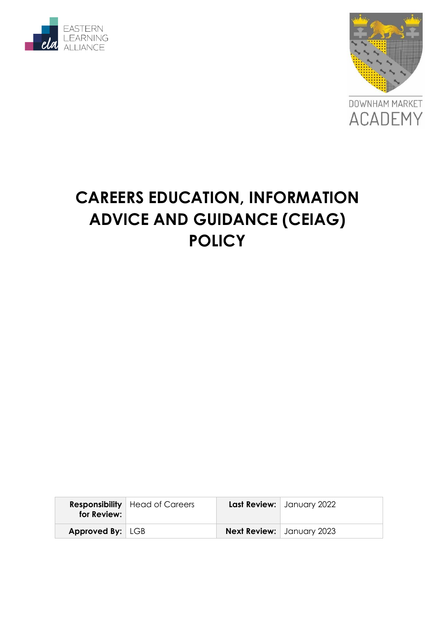



# **CAREERS EDUCATION, INFORMATION ADVICE AND GUIDANCE (CEIAG) POLICY**

| for Review:             | <b>Responsibility</b>   Head of Careers | Last Review:   January 2022      |
|-------------------------|-----------------------------------------|----------------------------------|
| <b>Approved By:</b> LGB |                                         | <b>Next Review:</b> January 2023 |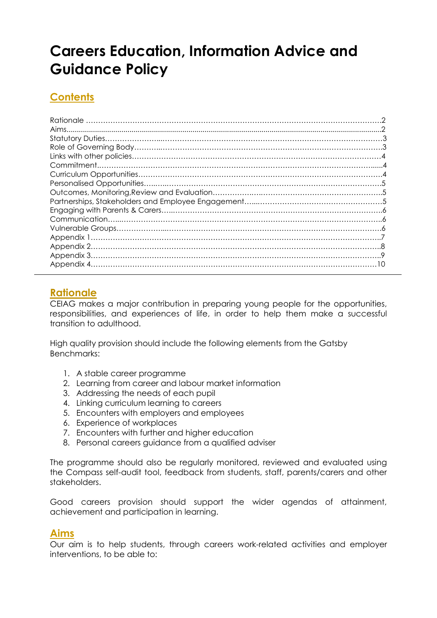# **Careers Education, Information Advice and Guidance Policy**

# **Contents**

# **Rationale**

CEIAG makes a major contribution in preparing young people for the opportunities, responsibilities, and experiences of life, in order to help them make a successful transition to adulthood.

High quality provision should include the following elements from the Gatsby Benchmarks:

- 1. A stable career programme
- 2. Learning from career and labour market information
- 3. Addressing the needs of each pupil
- 4. Linking curriculum learning to careers
- 5. Encounters with employers and employees
- 6. Experience of workplaces
- 7. Encounters with further and higher education
- 8. Personal careers guidance from a qualified adviser

The programme should also be regularly monitored, reviewed and evaluated using the Compass self-audit tool, feedback from students, staff, parents/carers and other stakeholders.

Good careers provision should support the wider agendas of attainment, achievement and participation in learning.

# **Aims**

Our aim is to help students, through careers work-related activities and employer interventions, to be able to: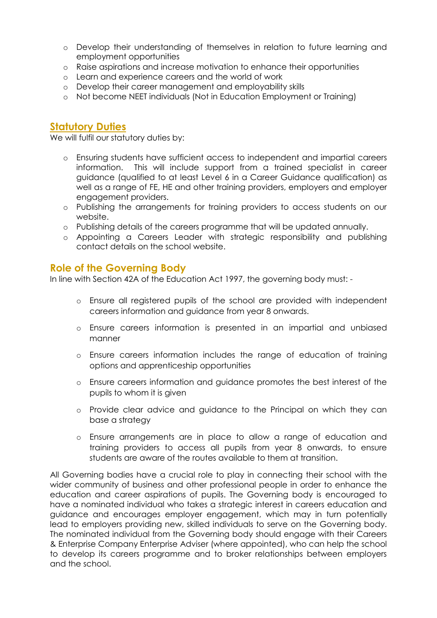- o Develop their understanding of themselves in relation to future learning and employment opportunities
- o Raise aspirations and increase motivation to enhance their opportunities
- o Learn and experience careers and the world of work
- o Develop their career management and employability skills
- o Not become NEET individuals (Not in Education Employment or Training)

# **Statutory Duties**

We will fulfil our statutory duties by:

- o Ensuring students have sufficient access to independent and impartial careers information. This will include support from a trained specialist in career guidance (qualified to at least Level 6 in a Career Guidance qualification) as well as a range of FE, HE and other training providers, employers and employer engagement providers.
- o Publishing the arrangements for training providers to access students on our website.
- o Publishing details of the careers programme that will be updated annually.
- o Appointing a Careers Leader with strategic responsibility and publishing contact details on the school website.

## **Role of the Governing Body**

In line with Section 42A of the Education Act 1997, the governing body must: -

- o Ensure all registered pupils of the school are provided with independent careers information and guidance from year 8 onwards.
- o Ensure careers information is presented in an impartial and unbiased manner
- o Ensure careers information includes the range of education of training options and apprenticeship opportunities
- o Ensure careers information and guidance promotes the best interest of the pupils to whom it is given
- o Provide clear advice and guidance to the Principal on which they can base a strategy
- o Ensure arrangements are in place to allow a range of education and training providers to access all pupils from year 8 onwards, to ensure students are aware of the routes available to them at transition.

All Governing bodies have a crucial role to play in connecting their school with the wider community of business and other professional people in order to enhance the education and career aspirations of pupils. The Governing body is encouraged to have a nominated individual who takes a strategic interest in careers education and guidance and encourages employer engagement, which may in turn potentially lead to employers providing new, skilled individuals to serve on the Governing body. The nominated individual from the Governing body should engage with their Careers & Enterprise Company Enterprise Adviser (where appointed), who can help the school to develop its careers programme and to broker relationships between employers and the school.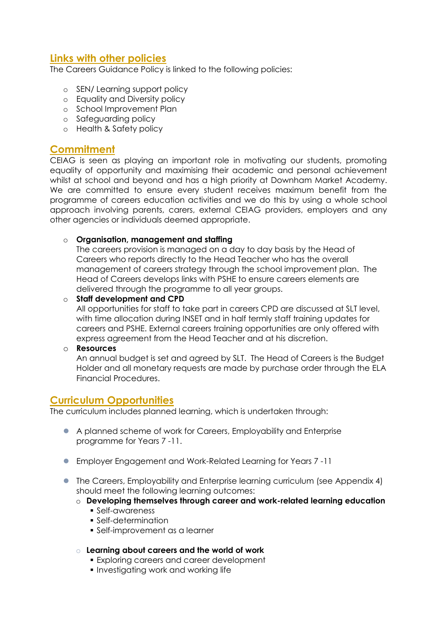# **Links with other policies**

The Careers Guidance Policy is linked to the following policies:

- o SEN/ Learning support policy
- o Equality and Diversity policy
- o School Improvement Plan
- o Safeguarding policy
- o Health & Safety policy

# **Commitment**

CEIAG is seen as playing an important role in motivating our students, promoting equality of opportunity and maximising their academic and personal achievement whilst at school and beyond and has a high priority at Downham Market Academy. We are committed to ensure every student receives maximum benefit from the programme of careers education activities and we do this by using a whole school approach involving parents, carers, external CEIAG providers, employers and any other agencies or individuals deemed appropriate.

#### o **Organisation, management and staffing**

The careers provision is managed on a day to day basis by the Head of Careers who reports directly to the Head Teacher who has the overall management of careers strategy through the school improvement plan. The Head of Careers develops links with PSHE to ensure careers elements are delivered through the programme to all year groups.

#### o **Staff development and CPD**

All opportunities for staff to take part in careers CPD are discussed at SLT level, with time allocation during INSET and in half termly staff training updates for careers and PSHE. External careers training opportunities are only offered with express agreement from the Head Teacher and at his discretion.

#### o **Resources**

An annual budget is set and agreed by SLT. The Head of Careers is the Budget Holder and all monetary requests are made by purchase order through the ELA Financial Procedures.

## **Curriculum Opportunities**

The curriculum includes planned learning, which is undertaken through:

- A planned scheme of work for Careers, Employability and Enterprise programme for Years 7 -11.
- Employer Engagement and Work-Related Learning for Years 7 -11
- The Careers, Employability and Enterprise learning curriculum (see Appendix 4) should meet the following learning outcomes:
	- o **Developing themselves through career and work-related learning education**
		- Self-awareness
		- Self-determination
		- Self-improvement as a learner
	- o **Learning about careers and the world of work**
		- **Exploring careers and career development**
		- **Investigating work and working life**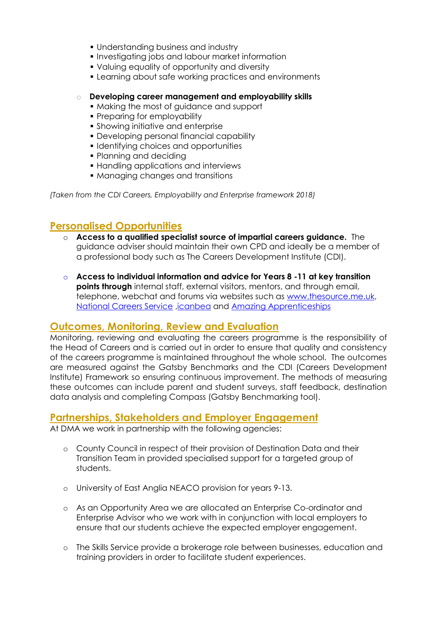- Understanding business and industry
- **Investigating jobs and labour market information**
- Valuing equality of opportunity and diversity
- **Example 20 Fearning about safe working practices and environments**

#### Developing career management and employability skills

- Making the most of guidance and support
- Preparing for employability
- Showing initiative and enterprise
- Developing personal financial capability
- **I** Identifying choices and opportunities
- Planning and deciding
- **Handling applications and interviews**
- Managing changes and transitions

*(Taken from the CDI Careers, Employability and Enterprise framework 2018)*

# **Personalised Opportunities**

- o **Access to a qualified specialist source of impartial careers guidance.** The guidance adviser should maintain their own CPD and ideally be a member of a professional body such as The Careers Development Institute (CDI).
- o **Access to individual information and advice for Years 8 -11 at key transition points through** internal staff, external visitors, mentors, and through email, telephone, webchat and forums via websites such as [www.thesource.me.uk,](http://www.thesource.me.uk/) [National Careers Service](https://nationalcareersservice.direct.gov.uk/) [,icanbea](https://www.icanbea.org.uk/) and [Amazing Apprenticeships](https://amazingapprenticeships.com/)

## **Outcomes, Monitoring, Review and Evaluation**

Monitoring, reviewing and evaluating the careers programme is the responsibility of the Head of Careers and is carried out in order to ensure that quality and consistency of the careers programme is maintained throughout the whole school. The outcomes are measured against the Gatsby Benchmarks and the CDI (Careers Development Institute) Framework so ensuring continuous improvement. The methods of measuring these outcomes can include parent and student surveys, staff feedback, destination data analysis and completing Compass (Gatsby Benchmarking tool).

## **Partnerships, Stakeholders and Employer Engagement**

At DMA we work in partnership with the following agencies:

- o County Council in respect of their provision of Destination Data and their Transition Team in provided specialised support for a targeted group of students.
- o University of East Anglia NEACO provision for years 9-13.
- o As an Opportunity Area we are allocated an Enterprise Co-ordinator and Enterprise Advisor who we work with in conjunction with local employers to ensure that our students achieve the expected employer engagement.
- o The Skills Service provide a brokerage role between businesses, education and training providers in order to facilitate student experiences.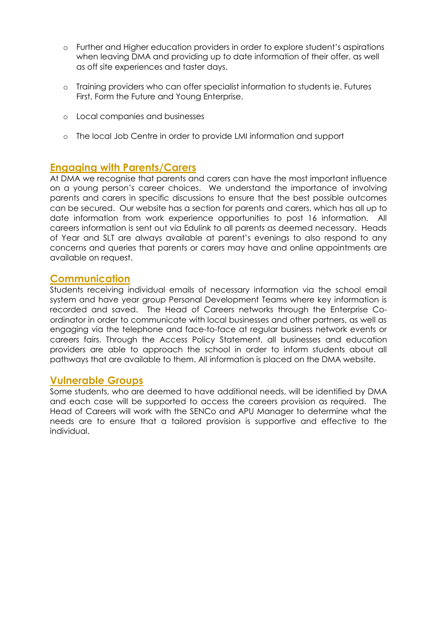- o Further and Higher education providers in order to explore student's aspirations when leaving DMA and providing up to date information of their offer, as well as off site experiences and taster days.
- o Training providers who can offer specialist information to students ie. Futures First, Form the Future and Young Enterprise.
- o Local companies and businesses
- o The local Job Centre in order to provide LMI information and support

## **Engaging with Parents/Carers**

At DMA we recognise that parents and carers can have the most important influence on a young person's career choices. We understand the importance of involving parents and carers in specific discussions to ensure that the best possible outcomes can be secured. Our website has a section for parents and carers, which has all up to date information from work experience opportunities to post 16 information. All careers information is sent out via Edulink to all parents as deemed necessary. Heads of Year and SLT are always available at parent's evenings to also respond to any concerns and queries that parents or carers may have and online appointments are available on request.

## **Communication**

Students receiving individual emails of necessary information via the school email system and have year group Personal Development Teams where key information is recorded and saved. The Head of Careers networks through the Enterprise Coordinator in order to communicate with local businesses and other partners, as well as engaging via the telephone and face-to-face at regular business network events or careers fairs. Through the Access Policy Statement, all businesses and education providers are able to approach the school in order to inform students about all pathways that are available to them. All information is placed on the DMA website.

## **Vulnerable Groups**

Some students, who are deemed to have additional needs, will be identified by DMA and each case will be supported to access the careers provision as required. The Head of Careers will work with the SENCo and APU Manager to determine what the needs are to ensure that a tailored provision is supportive and effective to the individual.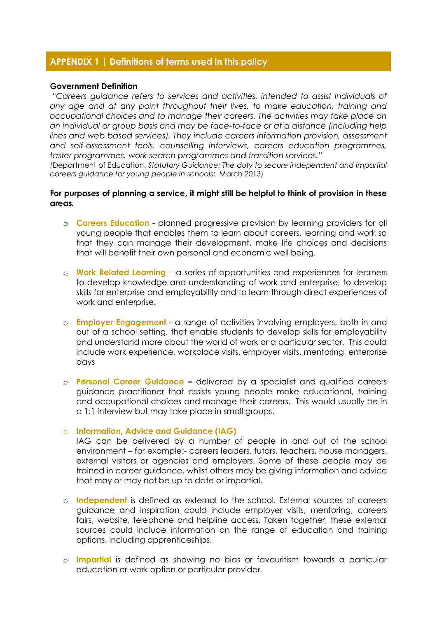#### **APPENDIX 1 | Definitions of terms used in this policy**

#### **Government Definition**

*"Careers guidance refers to services and activities, intended to assist individuals of any age and at any point throughout their lives, to make education, training and occupational choices and to manage their careers. The activities may take place on an individual or group basis and may be face-to-face or at a distance (including help*  lines and web based services). They include careers information provision, assessment *and self-assessment tools, counselling interviews, careers education programmes, taster programmes, work search programmes and transition services."*

*(*Department of Education. *Statutory Guidance: The duty to secure independent and impartial careers guidance for young people in schools*: March 2013)

#### **For purposes of planning a service, it might still be helpful to think of provision in these areas***.*

- o **Careers Education** planned progressive provision by learning providers for all young people that enables them to learn about careers, learning and work so that they can manage their development, make life choices and decisions that will benefit their own personal and economic well being.
- o **Work Related Learning** a series of opportunities and experiences for learners to develop knowledge and understanding of work and enterprise, to develop skills for enterprise and employability and to learn through direct experiences of work and enterprise.
- o **Employer Engagement** a range of activities involving employers, both in and out of a school setting, that enable students to develop skills for employability and understand more about the world of work or a particular sector. This could include work experience, workplace visits, employer visits, mentoring, enterprise days
- o **Personal Career Guidance –** delivered by a specialist and qualified careers guidance practitioner that assists young people make educational, training and occupational choices and manage their careers. This would usually be in a 1:1 interview but may take place in small groups.

#### o **Information, Advice and Guidance (IAG)**

IAG can be delivered by a number of people in and out of the school environment – for example:- careers leaders, tutors, teachers, house managers, external visitors or agencies and employers. Some of these people may be trained in career guidance, whilst others may be giving information and advice that may or may not be up to date or impartial.

- o **Independent** is defined as external to the school. External sources of careers guidance and inspiration could include employer visits, mentoring, careers fairs, website, telephone and helpline access. Taken together, these external sources could include information on the range of education and training options, including apprenticeships.
- o **Impartial** is defined as showing no bias or favouritism towards a particular education or work option or particular provider.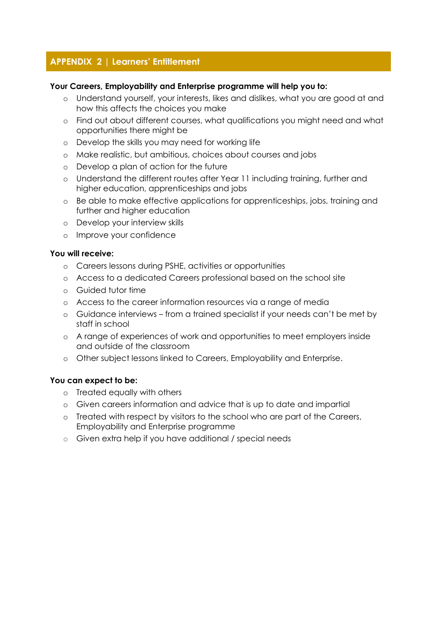# **APPENDIX 2 | Learners' Entitlement**

#### **Your Careers, Employability and Enterprise programme will help you to:**

- o Understand yourself, your interests, likes and dislikes, what you are good at and how this affects the choices you make
- o Find out about different courses, what qualifications you might need and what opportunities there might be
- o Develop the skills you may need for working life
- o Make realistic, but ambitious, choices about courses and jobs
- o Develop a plan of action for the future
- o Understand the different routes after Year 11 including training, further and higher education, apprenticeships and jobs
- o Be able to make effective applications for apprenticeships, jobs, training and further and higher education
- o Develop your interview skills
- o Improve your confidence

#### **You will receive:**

- o Careers lessons during PSHE, activities or opportunities
- o Access to a dedicated Careers professional based on the school site
- o Guided tutor time
- o Access to the career information resources via a range of media
- o Guidance interviews from a trained specialist if your needs can't be met by staff in school
- o A range of experiences of work and opportunities to meet employers inside and outside of the classroom
- o Other subject lessons linked to Careers, Employability and Enterprise.

#### **You can expect to be:**

- o Treated equally with others
- o Given careers information and advice that is up to date and impartial
- o Treated with respect by visitors to the school who are part of the Careers, Employability and Enterprise programme
- o Given extra help if you have additional / special needs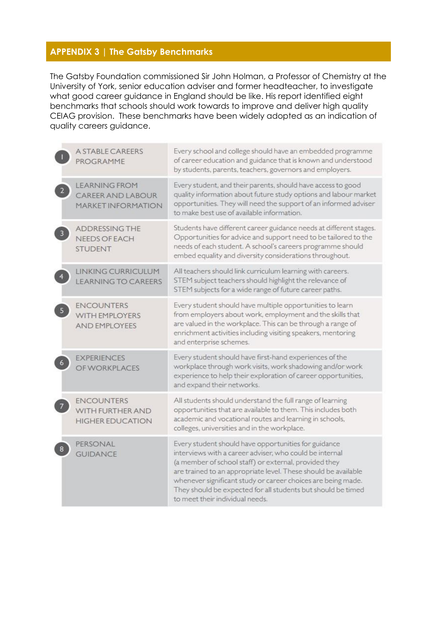# **APPENDIX 3 | The Gatsby Benchmarks**

The Gatsby Foundation commissioned Sir John Holman, a Professor of Chemistry at the University of York, senior education adviser and former headteacher, to investigate what good career guidance in England should be like. His report identified eight benchmarks that schools should work towards to improve and deliver high quality CEIAG provision. These benchmarks have been widely adopted as an indication of quality careers guidance.

| <b>A STABLE CAREERS</b><br>PROGRAMME                                          | Every school and college should have an embedded programme<br>of career education and guidance that is known and understood<br>by students, parents, teachers, governors and employers.                                                                                                                                                                                                                       |
|-------------------------------------------------------------------------------|---------------------------------------------------------------------------------------------------------------------------------------------------------------------------------------------------------------------------------------------------------------------------------------------------------------------------------------------------------------------------------------------------------------|
| <b>LEARNING FROM</b><br><b>CAREER AND LABOUR</b><br><b>MARKET INFORMATION</b> | Every student, and their parents, should have access to good<br>quality information about future study options and labour market<br>opportunities. They will need the support of an informed adviser<br>to make best use of available information.                                                                                                                                                            |
| <b>ADDRESSING THE</b><br><b>NEEDS OF EACH</b><br><b>STUDENT</b>               | Students have different career guidance needs at different stages.<br>Opportunities for advice and support need to be tailored to the<br>needs of each student. A school's careers programme should<br>embed equality and diversity considerations throughout.                                                                                                                                                |
| LINKING CURRICULUM<br><b>LEARNING TO CAREERS</b>                              | All teachers should link curriculum learning with careers.<br>STEM subject teachers should highlight the relevance of<br>STEM subjects for a wide range of future career paths.                                                                                                                                                                                                                               |
| <b>ENCOUNTERS</b><br>WITH EMPLOYERS<br><b>AND EMPLOYEES</b>                   | Every student should have multiple opportunities to learn<br>from employers about work, employment and the skills that<br>are valued in the workplace. This can be through a range of<br>enrichment activities including visiting speakers, mentoring<br>and enterprise schemes.                                                                                                                              |
| <b>EXPERIENCES</b><br>OF WORKPLACES                                           | Every student should have first-hand experiences of the<br>workplace through work visits, work shadowing and/or work<br>experience to help their exploration of career opportunities,<br>and expand their networks.                                                                                                                                                                                           |
| <b>ENCOUNTERS</b><br>WITH FURTHER AND<br><b>HIGHER EDUCATION</b>              | All students should understand the full range of learning<br>opportunities that are available to them. This includes both<br>academic and vocational routes and learning in schools,<br>colleges, universities and in the workplace.                                                                                                                                                                          |
| PERSONAL<br><b>GUIDANCE</b>                                                   | Every student should have opportunities for guidance<br>interviews with a career adviser, who could be internal<br>(a member of school staff) or external, provided they<br>are trained to an appropriate level. These should be available<br>whenever significant study or career choices are being made.<br>They should be expected for all students but should be timed<br>to meet their individual needs. |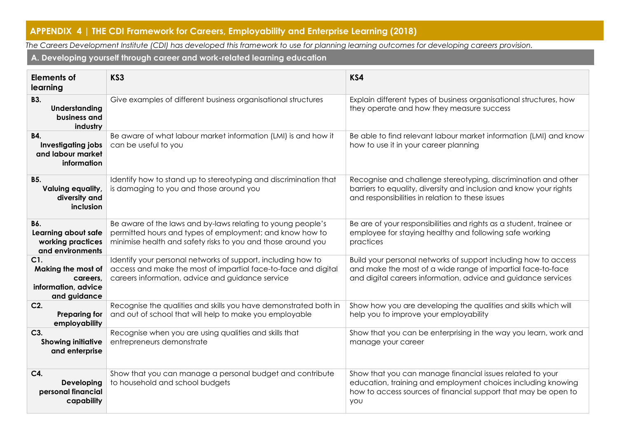# **APPENDIX 4 | THE CDI Framework for Careers, Employability and Enterprise Learning (2018)**

*The Careers Development Institute (CDI) has developed this framework to use for planning learning outcomes for developing careers provision.*

**A. Developing yourself through career and work-related learning education**

| <b>Elements of</b><br>learning                                               | KS3                                                                                                                                                                                     | KS4                                                                                                                                                                                                |
|------------------------------------------------------------------------------|-----------------------------------------------------------------------------------------------------------------------------------------------------------------------------------------|----------------------------------------------------------------------------------------------------------------------------------------------------------------------------------------------------|
| <b>B3.</b><br>Understanding<br>business and<br>industry                      | Give examples of different business organisational structures                                                                                                                           | Explain different types of business organisational structures, how<br>they operate and how they measure success                                                                                    |
| <b>B4.</b><br><b>Investigating jobs</b><br>and labour market<br>information  | Be aware of what labour market information (LMI) is and how it<br>can be useful to you                                                                                                  | Be able to find relevant labour market information (LMI) and know<br>how to use it in your career planning                                                                                         |
| <b>B5.</b><br>Valuing equality,<br>diversity and<br>inclusion                | Identify how to stand up to stereotyping and discrimination that<br>is damaging to you and those around you                                                                             | Recognise and challenge stereotyping, discrimination and other<br>barriers to equality, diversity and inclusion and know your rights<br>and responsibilities in relation to these issues           |
| <b>B6.</b><br>Learning about safe<br>working practices<br>and environments   | Be aware of the laws and by-laws relating to young people's<br>permitted hours and types of employment; and know how to<br>minimise health and safety risks to you and those around you | Be are of your responsibilities and rights as a student, trainee or<br>employee for staying healthy and following safe working<br>practices                                                        |
| C1.<br>Making the most of<br>careers.<br>information, advice<br>and guidance | Identify your personal networks of support, including how to<br>access and make the most of impartial face-to-face and digital<br>careers information, advice and guidance service      | Build your personal networks of support including how to access<br>and make the most of a wide range of impartial face-to-face<br>and digital careers information, advice and guidance services    |
| $C2$ .<br><b>Preparing for</b><br>employability                              | Recognise the qualities and skills you have demonstrated both in<br>and out of school that will help to make you employable                                                             | Show how you are developing the qualities and skills which will<br>help you to improve your employability                                                                                          |
| C3.<br><b>Showing initiative</b><br>and enterprise                           | Recognise when you are using qualities and skills that<br>entrepreneurs demonstrate                                                                                                     | Show that you can be enterprising in the way you learn, work and<br>manage your career                                                                                                             |
| C4.<br>Developing<br>personal financial<br>capability                        | Show that you can manage a personal budget and contribute<br>to household and school budgets                                                                                            | Show that you can manage financial issues related to your<br>education, training and employment choices including knowing<br>how to access sources of financial support that may be open to<br>you |